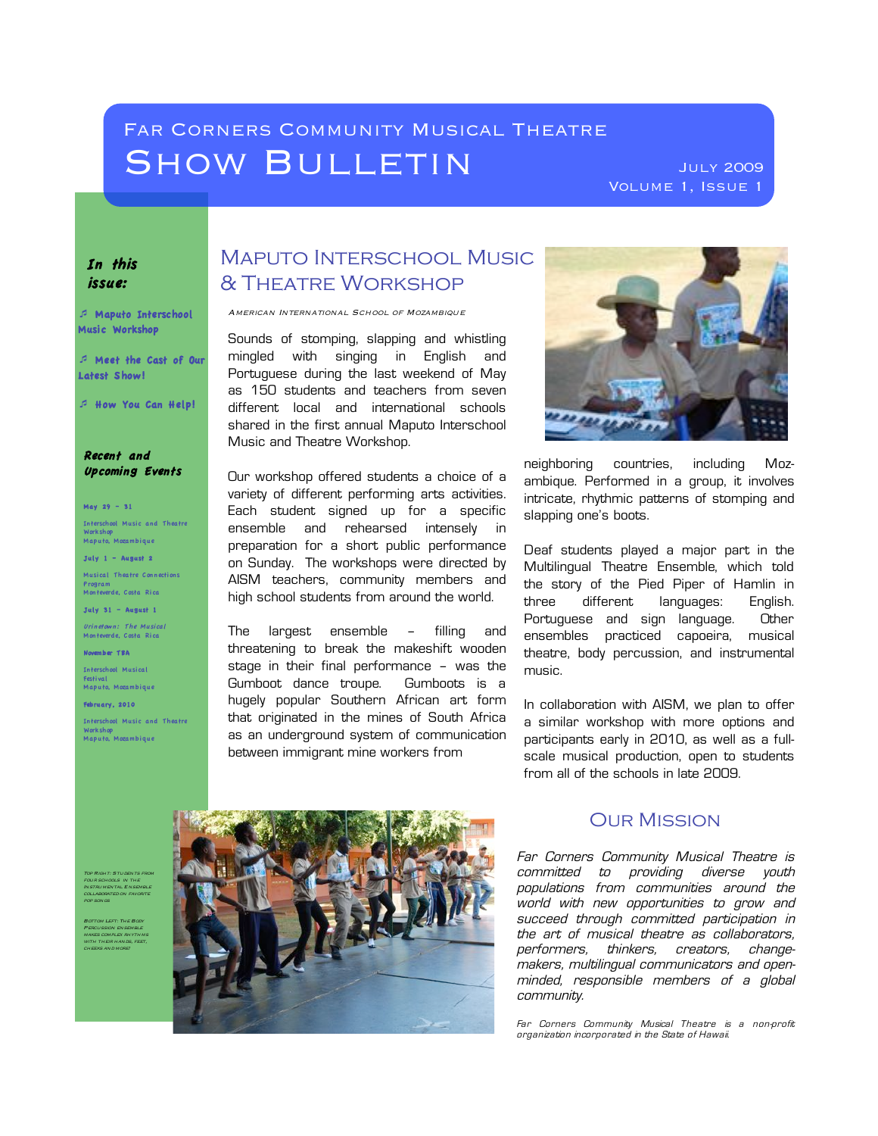# FAR CORNERS COMMUNITY MUSICAL THEATRE SHOW BULLETIN JULY 2009

Volume 1, Issue 1

#### In this issue:

! Maputo Interschool Music Workshop

! Meet the Cast of Our Latest Show!

! How You Can Help!

Recent and Upcoming Events

May 29 – 31

Interschool Music and Theatre Workshop Maputo, Mozambi que

July  $1 -$  August 2

Musical Theatre Connections Program Monteverde, Costa Rica

July 31 – August 1

*Urinetown: The Musical*<br>Monteverde, Costa Rica

November T BA

Interschool Musical Festival Maputo, Mozambi que

February, 2010

four schools in the

WITH THEIR HANDS, FEET, cheeks and more!

pop songs Bottom Left: The Body Percussion ensemble

Interschool Music and Theatre Workshop Maputo, Mozambi que

Maputo Interschool Music & Theatre Workshop

American International School of Mozambique

Sounds of stomping, slapping and whistling mingled with singing in English and Portuguese during the last weekend of May as 150 students and teachers from seven different local and international schools shared in the first annual Maputo Interschool Music and Theatre Workshop.

Our workshop offered students a choice of a variety of different performing arts activities. Each student signed up for a specific ensemble and rehearsed intensely in preparation for a short public performance on Sunday. The workshops were directed by AISM teachers, community members and high school students from around the world.

The largest ensemble – filling and threatening to break the makeshift wooden stage in their final performance – was the Gumboot dance troupe. Gumboots is a hugely popular Southern African art form that originated in the mines of South Africa as an underground system of communication between immigrant mine workers from



neighboring countries, including Mozambique. Performed in a group, it involves intricate, rhythmic patterns of stomping and slapping one's boots.

Deaf students played a major part in the Multilingual Theatre Ensemble, which told the story of the Pied Piper of Hamlin in three different languages: English. Portuguese and sign language. Other ensembles practiced capoeira, musical theatre, body percussion, and instrumental music.

In collaboration with AISM, we plan to offer a similar workshop with more options and participants early in 2010, as well as a fullscale musical production, open to students from all of the schools in late 2009.



### Our Mission

Far Corners Community Musical Theatre is committed to providing diverse youth populations from communities around the world with new opportunities to grow and succeed through committed participation in the art of musical theatre as collaborators, performers, thinkers, creators, changemakers, multilingual communicators and openminded, responsible members of a global community.

Far Corners Community Musical Theatre is a non-profit organization incorporated in the State of Hawaii.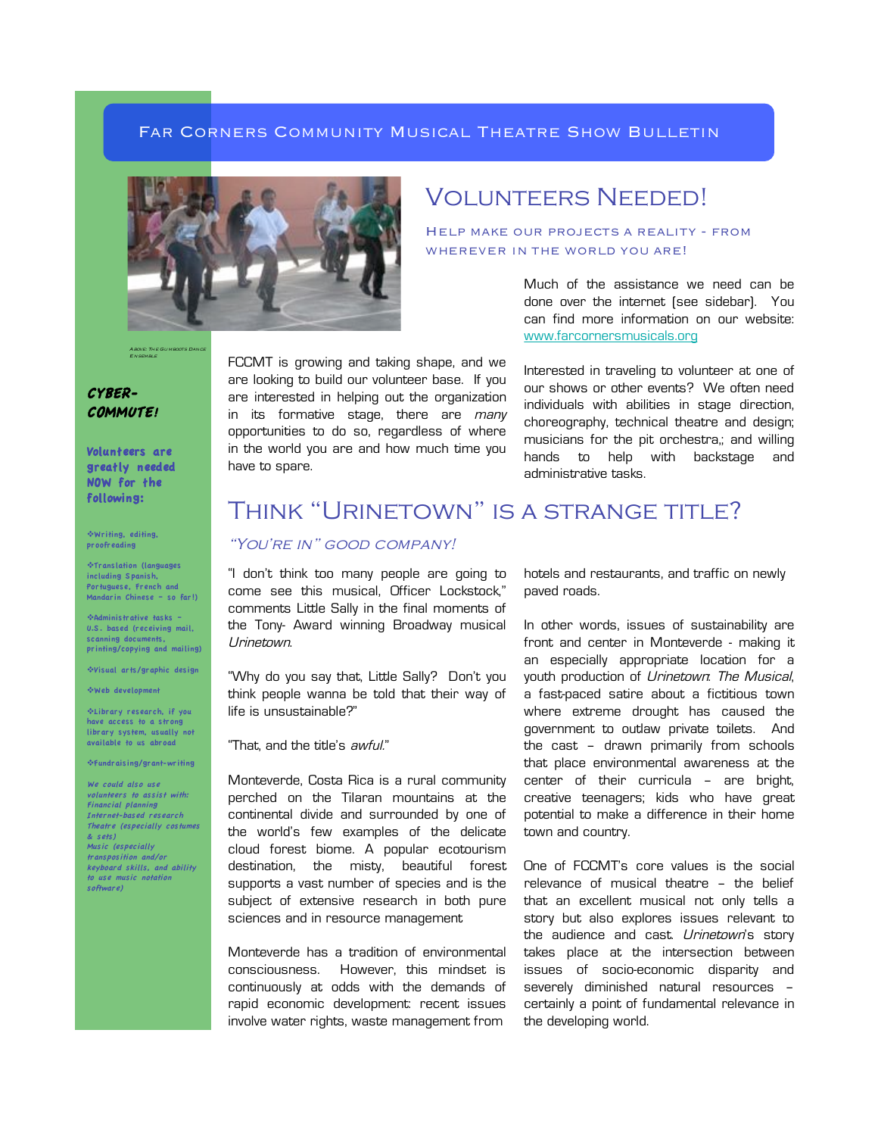#### FAR CORNERS COMMUNITY MUSICAL THEATRE SHOW BULLETIN



Above: The Gumboots Dance Ensemble

CYBER-COMMUTE!

Volunteers are greatly needed NOW for the

!Writing, editing, proofreading

 $\cdot$ Translation (languages including S panish, Portuguese, French and Mandarin Chinese – so far!)

!Administrative tasks – U.S . based (receiving mail, scanning documents. printing/copying and mailing)

!Visual arts/graphic design

!Web development

!Library research, if you have access to a strong library system, usually not available to us abroad

!Fundraising/grant-writing

We could also use volunteers to assist with: Financial planning Internet-based research Theatre (especially costumes & sets) Music (especially transposition and/or keyboard skills, and ability to use music notation software)

FCCMT is growing and taking shape, and we are looking to build our volunteer base. If you are interested in helping out the organization in its formative stage, there are many opportunities to do so, regardless of where in the world you are and how much time you have to spare.

## VOLUNTEERS NEEDED!

Help make our projects a reality - from WHEREVER IN THE WORLD YOU ARE!

> Much of the assistance we need can be done over the internet (see sidebar). You can find more information on our website: www.farcornersmusicals.org

> Interested in traveling to volunteer at one of our shows or other events? We often need individuals with abilities in stage direction, choreography, technical theatre and design; musicians for the pit orchestra,; and willing hands to help with backstage and administrative tasks.

# following: THINK "URINETOWN" IS A STRANGE TITLE?

### "YOU'RE IN" GOOD COMPANY!

"I don't think too many people are going to come see this musical, Officer Lockstock," comments Little Sally in the final moments of the Tony- Award winning Broadway musical Urinetown.

"Why do you say that, Little Sally? Don't you think people wanna be told that their way of life is unsustainable?"

"That, and the title's awful."

Monteverde, Costa Rica is a rural community perched on the Tilaran mountains at the continental divide and surrounded by one of the world's few examples of the delicate cloud forest biome. A popular ecotourism destination, the misty, beautiful forest supports a vast number of species and is the subject of extensive research in both pure sciences and in resource management

Monteverde has a tradition of environmental consciousness. However, this mindset is continuously at odds with the demands of rapid economic development: recent issues involve water rights, waste management from

hotels and restaurants, and traffic on newly paved roads.

In other words, issues of sustainability are front and center in Monteverde - making it an especially appropriate location for a youth production of Urinetown: The Musical, a fast-paced satire about a fictitious town where extreme drought has caused the government to outlaw private toilets. And the cast – drawn primarily from schools that place environmental awareness at the center of their curricula – are bright, creative teenagers; kids who have great potential to make a difference in their home town and country.

One of FCCMT's core values is the social relevance of musical theatre – the belief that an excellent musical not only tells a story but also explores issues relevant to the audience and cast. Urinetown's story takes place at the intersection between issues of socio-economic disparity and severely diminished natural resources – certainly a point of fundamental relevance in the developing world.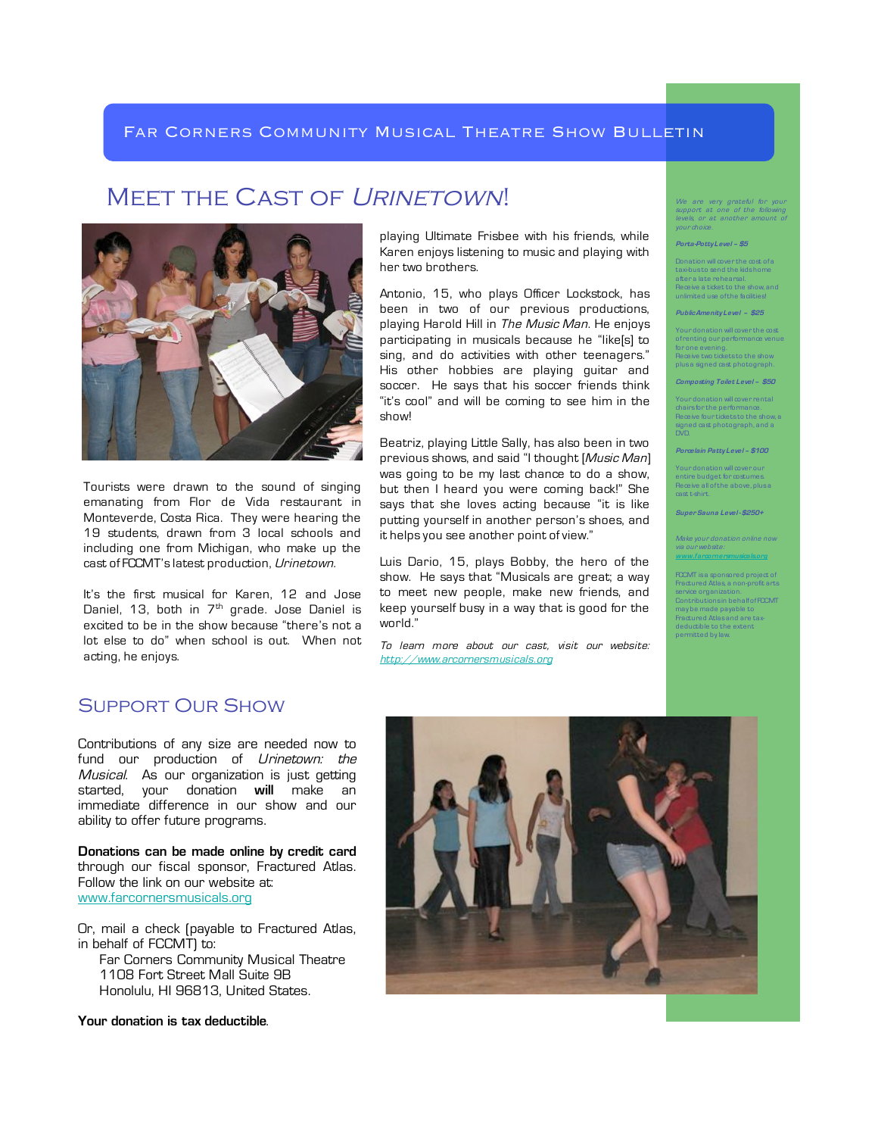## MEET THE CAST OF URINETOWN!



Tourists were drawn to the sound of singing emanating from Flor de Vida restaurant in Monteverde, Costa Rica. They were hearing the 19 students, drawn from 3 local schools and including one from Michigan, who make up the cast of FCCMT's latest production, Urinetown.

It's the first musical for Karen, 12 and Jose Daniel, 13, both in  $7<sup>th</sup>$  grade. Jose Daniel is excited to be in the show because "there's not a lot else to do" when school is out. When not acting, he enjoys.

## Support Our Show

Contributions of any size are needed now to fund our production of *Urinetown: the* Musical. As our organization is just getting started, your donation **will** make an immediate difference in our show and our ability to offer future programs.

**Donations can be made online by credit card** through our fiscal sponsor, Fractured Atlas. Follow the link on our website at: www.farcornersmusicals.org

Or, mail a check (payable to Fractured Atlas, in behalf of FCCMT) to:

 Far Corners Community Musical Theatre 1108 Fort Street Mall Suite 9B Honolulu, HI 96813, United States.

**Your donation is tax deductible**.

playing Ultimate Frisbee with his friends, while Karen enjoys listening to music and playing with her two brothers.

Antonio, 15, who plays Officer Lockstock, has been in two of our previous productions, playing Harold Hill in The Music Man. He enjoys participating in musicals because he "like[s] to sing, and do activities with other teenagers." His other hobbies are playing guitar and soccer. He says that his soccer friends think "it's cool" and will be coming to see him in the show!

Beatriz, playing Little Sally, has also been in two previous shows, and said "I thought [Music Man] was going to be my last chance to do a show, but then I heard you were coming back!" She says that she loves acting because "it is like putting yourself in another person's shoes, and it helps you see another point of view."

Luis Dario, 15, plays Bobby, the hero of the show. He says that "Musicals are great; a way to meet new people, make new friends, and keep yourself busy in a way that is good for the world."

To learn more about our cast, visit our website: http://www.arcornersmusicals.org

We are very grateful for your support at one of the following levels, or at another amount of your choice.

#### **Porta-Potty Level – \$5**

Donation will cover the cost of a axi-bus to send the kids h after a late rehearsal. Receive a ticket to the show, and unlimited use of the facilities!

**Public Amenity Level – \$25**

Your donation will cover the cost of renting our performance venue for one evening. Receive two tickets to the show plus a signed cast photograph

**Composting Toilet Level – \$50**

Your donation will cover rental chairs for the performance. Receive four tickets to the show, a signed cast photograph, and a DVD.

**Porcelain Patty Level – \$100**

Your donation will cover our entire budget for costumes. Receive all of the above, plus a cast t-shirt.

**Super Sauna Level - \$250+**

Make your donation online n via our website: **www.farcornersmusicals.org**

FCCMT is a sponsored project Fractured Atlas, a non-profit ar service organization. Contributions in behalf of FCCMT may be made payable to Fractured Atlas and are taxdeductible to the extent permitted by law.